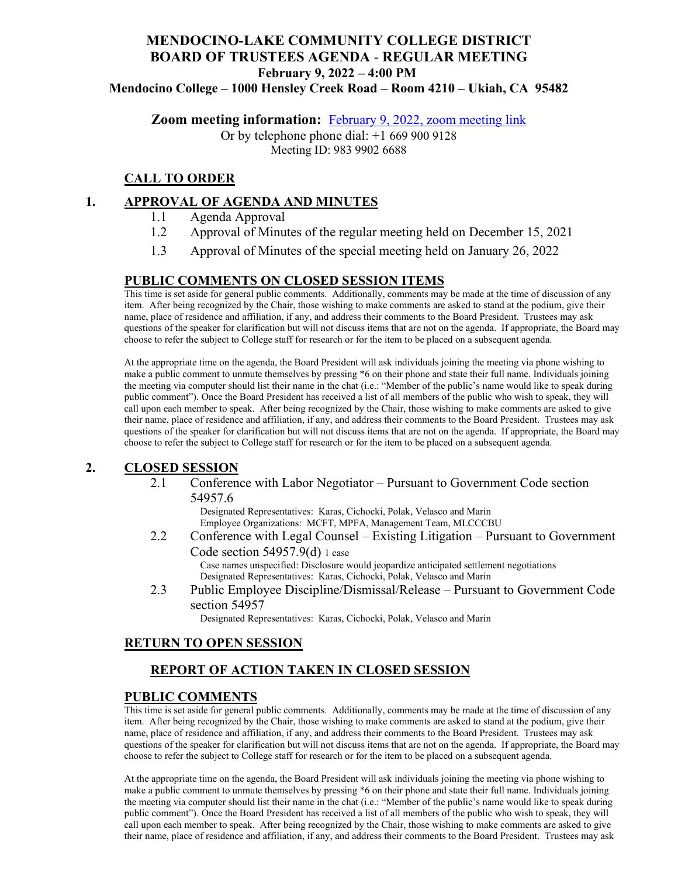# **MENDOCINO-LAKE COMMUNITY COLLEGE DISTRICT BOARD OF TRUSTEES AGENDA** - **REGULAR MEETING February 9, 2022 – 4:00 PM**

**Mendocino College – 1000 Hensley Creek Road – Room 4210 – Ukiah, CA 95482**

**Zoom meeting information:** February 9, 2022, zoom meeting link

Or by telephone phone dial: +1 669 900 9128 Meeting ID: 983 9902 6688

## **CALL TO ORDER**

#### **1. APPROVAL OF AGENDA AND MINUTES**

- 1.1 Agenda Approval
- 1.2 Approval of Minutes of the regular meeting held on December 15, 2021
- 1.3 Approval of Minutes of the special meeting held on January 26, 2022

#### **PUBLIC COMMENTS ON CLOSED SESSION ITEMS**

This time is set aside for general public comments. Additionally, comments may be made at the time of discussion of any item. After being recognized by the Chair, those wishing to make comments are asked to stand at the podium, give their name, place of residence and affiliation, if any, and address their comments to the Board President. Trustees may ask questions of the speaker for clarification but will not discuss items that are not on the agenda. If appropriate, the Board may choose to refer the subject to College staff for research or for the item to be placed on a subsequent agenda.

At the appropriate time on the agenda, the Board President will ask individuals joining the meeting via phone wishing to make a public comment to unmute themselves by pressing \*6 on their phone and state their full name. Individuals joining the meeting via computer should list their name in the chat (i.e.: "Member of the public's name would like to speak during public comment"). Once the Board President has received a list of all members of the public who wish to speak, they will call upon each member to speak. After being recognized by the Chair, those wishing to make comments are asked to give their name, place of residence and affiliation, if any, and address their comments to the Board President. Trustees may ask questions of the speaker for clarification but will not discuss items that are not on the agenda. If appropriate, the Board may choose to refer the subject to College staff for research or for the item to be placed on a subsequent agenda.

#### **2. CLOSED SESSION**

2.1 Conference with Labor Negotiator – Pursuant to Government Code section 54957.6

Designated Representatives: Karas, Cichocki, Polak, Velasco and Marin Employee Organizations: MCFT, MPFA, Management Team, MLCCCBU

2.2 Conference with Legal Counsel – Existing Litigation – Pursuant to Government Code section 54957.9(d) 1 case

Case names unspecified: Disclosure would jeopardize anticipated settlement negotiations Designated Representatives: Karas, Cichocki, Polak, Velasco and Marin

2.3 Public Employee Discipline/Dismissal/Release – Pursuant to Government Code section 54957

Designated Representatives: Karas, Cichocki, Polak, Velasco and Marin

#### **RETURN TO OPEN SESSION**

## **REPORT OF ACTION TAKEN IN CLOSED SESSION**

#### **PUBLIC COMMENTS**

This time is set aside for general public comments. Additionally, comments may be made at the time of discussion of any item. After being recognized by the Chair, those wishing to make comments are asked to stand at the podium, give their name, place of residence and affiliation, if any, and address their comments to the Board President. Trustees may ask questions of the speaker for clarification but will not discuss items that are not on the agenda. If appropriate, the Board may choose to refer the subject to College staff for research or for the item to be placed on a subsequent agenda.

At the appropriate time on the agenda, the Board President will ask individuals joining the meeting via phone wishing to make a public comment to unmute themselves by pressing \*6 on their phone and state their full name. Individuals joining the meeting via computer should list their name in the chat (i.e.: "Member of the public's name would like to speak during public comment"). Once the Board President has received a list of all members of the public who wish to speak, they will call upon each member to speak. After being recognized by the Chair, those wishing to make comments are asked to give their name, place of residence and affiliation, if any, and address their comments to the Board President. Trustees may ask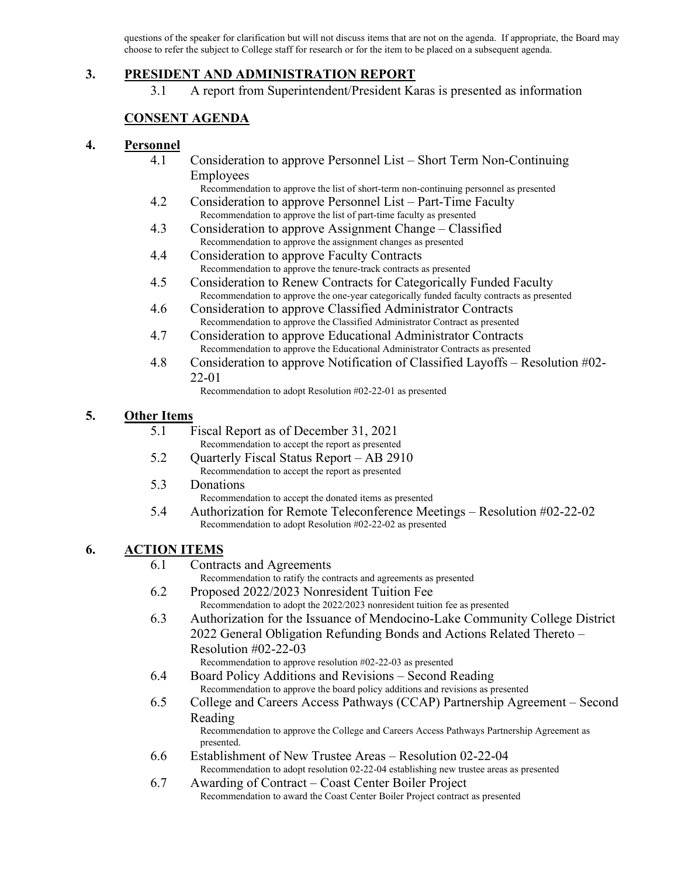questions of the speaker for clarification but will not discuss items that are not on the agenda. If appropriate, the Board may choose to refer the subject to College staff for research or for the item to be placed on a subsequent agenda.

#### **3. PRESIDENT AND ADMINISTRATION REPORT**

3.1 A report from Superintendent/President Karas is presented as information

#### **CONSENT AGENDA**

#### **4. Personnel**

4.1 Consideration to approve Personnel List – Short Term Non-Continuing Employees

Recommendation to approve the list of short-term non-continuing personnel as presented

- 4.2 Consideration to approve Personnel List Part-Time Faculty Recommendation to approve the list of part-time faculty as presented
- 4.3 Consideration to approve Assignment Change Classified Recommendation to approve the assignment changes as presented
- 4.4 Consideration to approve Faculty Contracts Recommendation to approve the tenure-track contracts as presented
- 4.5 Consideration to Renew Contracts for Categorically Funded Faculty Recommendation to approve the one-year categorically funded faculty contracts as presented
- 4.6 Consideration to approve Classified Administrator Contracts Recommendation to approve the Classified Administrator Contract as presented
- 4.7 Consideration to approve Educational Administrator Contracts Recommendation to approve the Educational Administrator Contracts as presented
- 4.8 Consideration to approve Notification of Classified Layoffs Resolution #02- 22-01

Recommendation to adopt Resolution #02-22-01 as presented

#### **5. Other Items**

- 5.1 Fiscal Report as of December 31, 2021 Recommendation to accept the report as presented
- 5.2 Quarterly Fiscal Status Report AB 2910 Recommendation to accept the report as presented
- 5.3 Donations

Recommendation to accept the donated items as presented

5.4 Authorization for Remote Teleconference Meetings – Resolution #02-22-02 Recommendation to adopt Resolution #02-22-02 as presented

#### **6. ACTION ITEMS**

6.1 Contracts and Agreements

Recommendation to ratify the contracts and agreements as presented

- 6.2 Proposed 2022/2023 Nonresident Tuition Fee Recommendation to adopt the 2022/2023 nonresident tuition fee as presented
- 6.3 Authorization for the Issuance of Mendocino-Lake Community College District 2022 General Obligation Refunding Bonds and Actions Related Thereto – Resolution #02-22-03
	- Recommendation to approve resolution #02-22-03 as presented
- 6.4 Board Policy Additions and Revisions Second Reading Recommendation to approve the board policy additions and revisions as presented
- 6.5 College and Careers Access Pathways (CCAP) Partnership Agreement Second Reading

Recommendation to approve the College and Careers Access Pathways Partnership Agreement as presented.

- 6.6 Establishment of New Trustee Areas Resolution 02-22-04 Recommendation to adopt resolution 02-22-04 establishing new trustee areas as presented
- 6.7 Awarding of Contract Coast Center Boiler Project Recommendation to award the Coast Center Boiler Project contract as presented